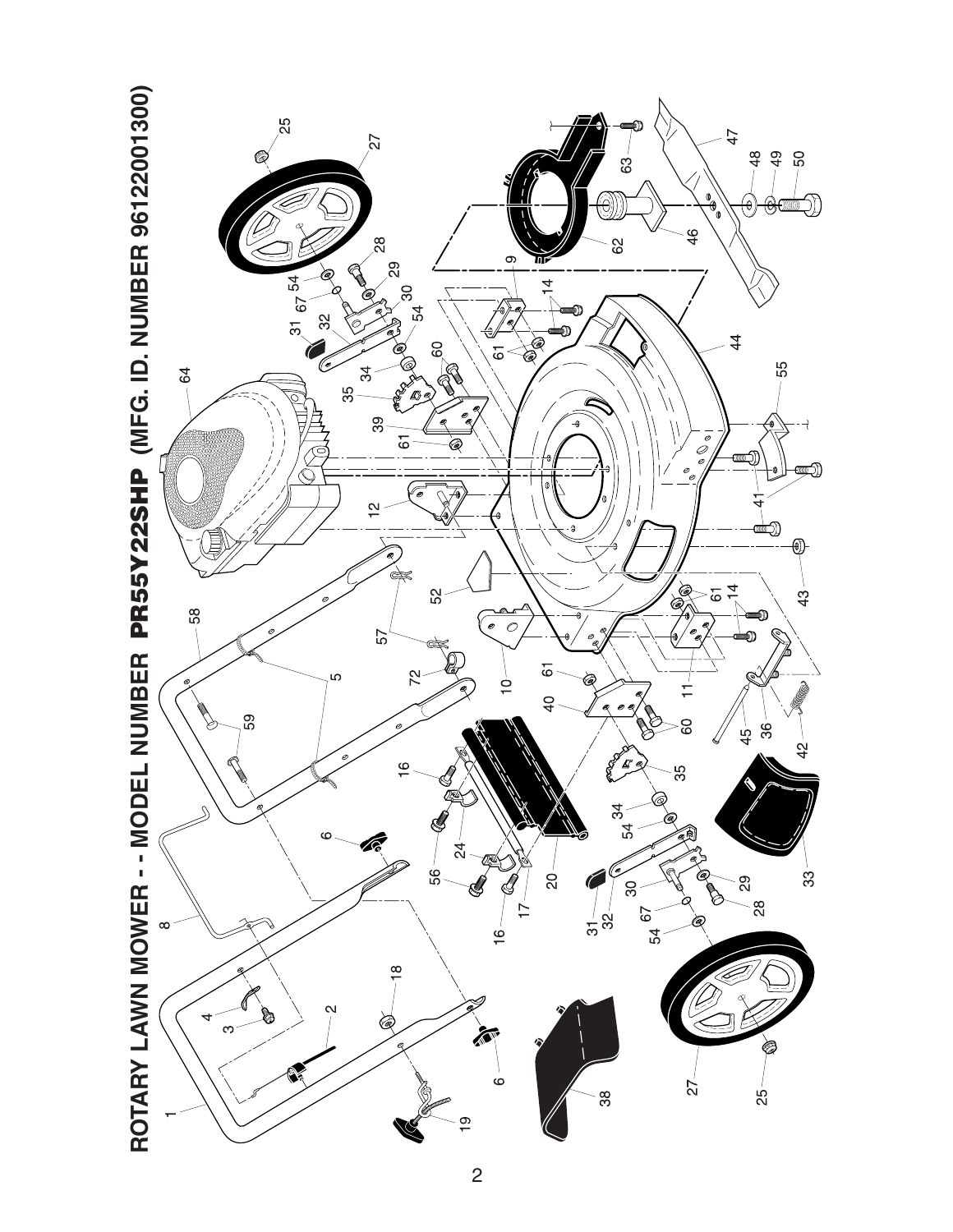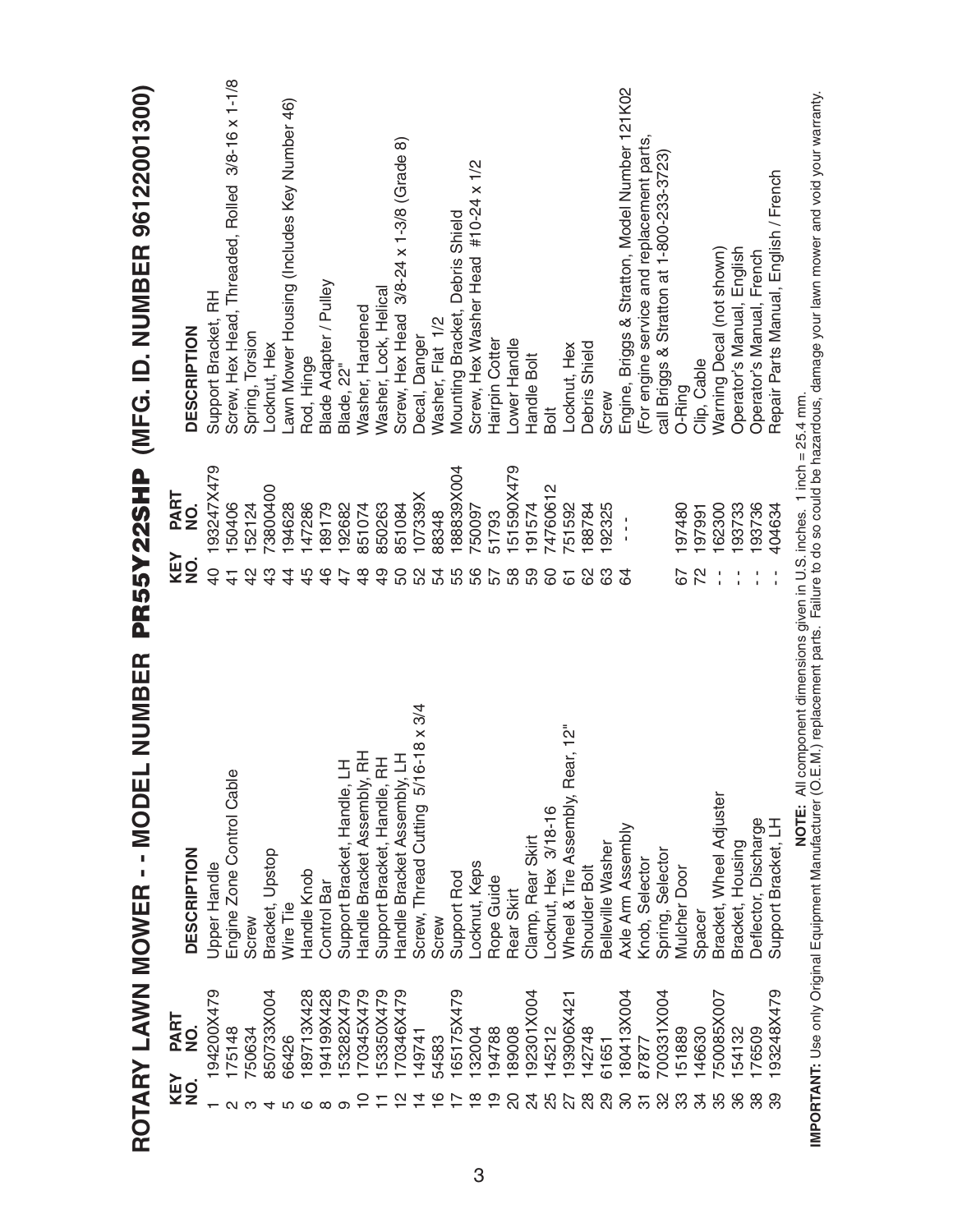|                                   | <b>L NUMBER</b><br>ROTARY LAWN MOWER - - MODE    | PR55Y22SHP                               | (MFG. ID. NUMBER 96122001300)                    |
|-----------------------------------|--------------------------------------------------|------------------------------------------|--------------------------------------------------|
| PART<br>NO.<br><b>KEY</b><br>NO.  | <b>DESCRIPTION</b>                               | PART<br>NO.<br>KEY<br>$\dot{\mathbf{2}}$ | <b>DESCRIPTION</b>                               |
| 194200X479                        | Upper Handle                                     | 93247X479<br>$\overline{0}$              | Support Bracket, RH                              |
| 175148                            | Engine Zone Control Cable                        | 50406<br>$\frac{4}{3}$                   | Screw, Hex Head, Threaded, Rolled 3/8-16 x 1-1/8 |
| 750634                            | Screw                                            | 152124<br>$\frac{2}{3}$                  | Spring, Torsion                                  |
| 850733X004                        | Bracket, Upstop                                  | 73800400<br>43                           | Locknut, Hex                                     |
| 66426                             | Wire Tie                                         | 194628<br>$\c4$                          | Lawn Mower Housing (Includes Key Number 46)      |
| 189713X428                        | Handle Knob                                      | 147286<br>45                             | Rod, Hinge                                       |
| 194199X428<br>∞                   | Control Bar                                      | 189179<br>46                             | Blade Adapter / Pulley                           |
| 53282X479<br>စာ                   | 舌<br>Support Bracket, Handle,                    | 192682<br>47                             | Blade, 22"                                       |
| 170345X479<br>$\subseteq$         | 준<br>Handle Bracket Assembly,                    | 851074<br>$\frac{8}{4}$                  | Washer, Hardened                                 |
| 53350X479                         | 곥<br>Support Bracket, Handle,                    | 850263<br>$\frac{9}{4}$                  | Washer, Lock, Helical                            |
| 170346X479<br>N                   | $\exists$<br>Handle Bracket Assembly,            | 851084<br>င္တ                            | Screw, Hex Head 3/8-24 x 1-3/8 (Grade 8)         |
| 149741<br>4                       | $6 - 18 \times 3/4$<br>Screw, Thread Cutting 5/1 | 107339X<br>52                            | Decal, Danger                                    |
| 54583<br>ဖ                        | Screw                                            | 88348<br>54                              | Washer, Flat 1/2                                 |
| 165175X479                        | Support Rod                                      | 188839X004<br>55                         | Mounting Bracket, Debris Shield                  |
| 132004<br>$\frac{\infty}{\infty}$ | Locknut, Keps                                    | 750097<br>99                             | Screw, Hex Washer Head #10-24 x 1/2              |
| 194788<br>စ္                      | Rope Guide                                       | 51793<br>57                              | Hairpin Cotter                                   |
| 189008<br>20                      | Rear Skirt                                       | 151590X479<br>58                         | Lower Handle                                     |
| 192301X004<br>$\overline{6}$      | Clamp, Rear Skirt                                | 191574<br>59                             | Handle Bolt                                      |
| 145212<br>25                      | Locknut, Hex 3/18-16                             | <sup>74760612</sup><br>80                | Bolt                                             |
| 193906X421                        | Wheel & Tire Assembly, Rear, 12"                 | 751592<br>61                             | Locknut, Hex                                     |
| 142748<br>28                      | Shoulder Bolt                                    | 188784<br>8                              | Debris Shield                                    |
| 61651<br>80                       | Belleville Washer                                | 192325<br>63                             | Screw                                            |
| 180413X004<br>85                  | Axle Arm Assembly                                | 3                                        | Engine, Briggs & Stratton, Model Number 121K02   |
| 87877                             | Knob, Selector                                   |                                          | (For engine service and replacement parts,       |
| 700331X004<br>32                  | Spring, Selector                                 |                                          | call Briggs & Stratton at 1-800-233-3723         |
| 51889<br>အိ                       | <b>Mulcher Door</b>                              | 197480<br>67                             | O-Ring                                           |
| 146630<br>34                      | Spacer                                           | 197991<br>72                             | Clip, Cable                                      |
| 50085X007<br>35                   | Bracket, Wheel Adjuster                          | 162300                                   | Warning Decal (not shown)                        |
| 54132<br>86                       | Bracket, Housing                                 | 193733                                   | Operator's Manual, English                       |
| 176509<br>38                      | Deflector, Discharge                             | 193736                                   | Operator's Manual, French                        |
| 93248X479<br>39                   | Support Bracket, LH                              | 404634                                   | Repair Parts Manual, English / French            |
|                                   | $\overline{a}$<br>L<br>ICH                       | :<br>۳<br>ء ماه منا<br>$\frac{c}{1}$     |                                                  |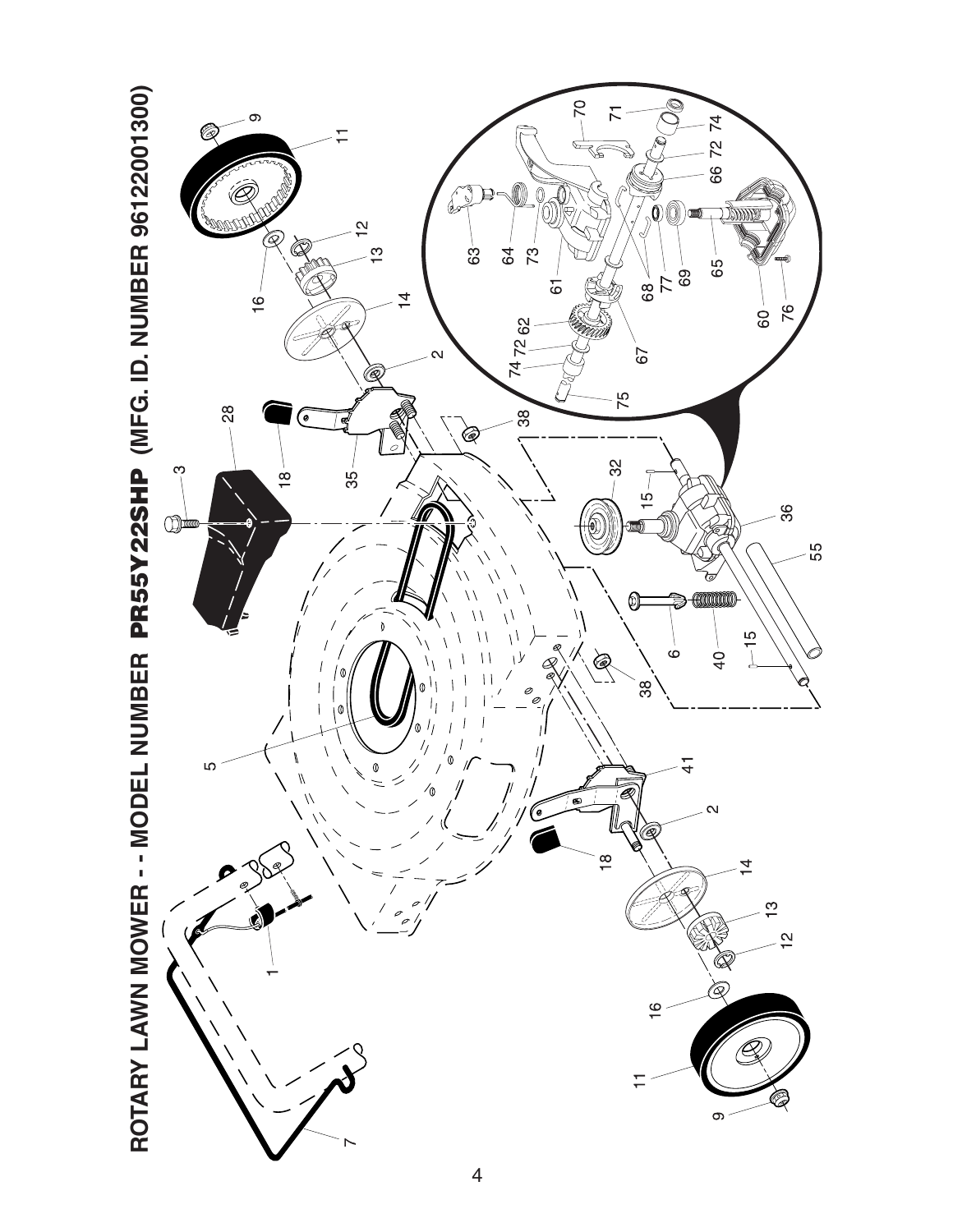